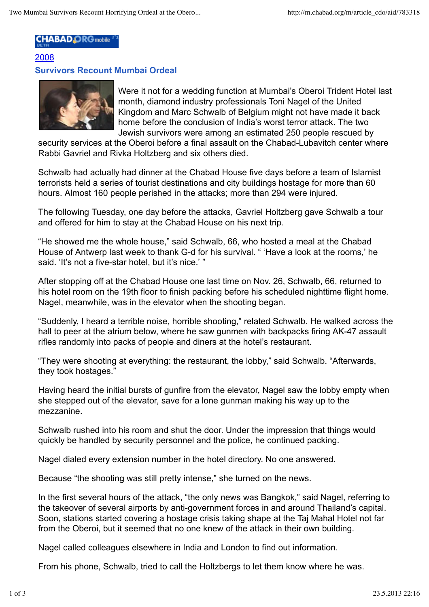## **CHABAD ORG** mobile

## 2008 **Survivors Recount Mumbai Ordeal**



Were it not for a wedding function at Mumbai's Oberoi Trident Hotel last month, diamond industry professionals Toni Nagel of the United Kingdom and Marc Schwalb of Belgium might not have made it back home before the conclusion of India's worst terror attack. The two Jewish survivors were among an estimated 250 people rescued by

security services at the Oberoi before a final assault on the Chabad-Lubavitch center where Rabbi Gavriel and Rivka Holtzberg and six others died.

Schwalb had actually had dinner at the Chabad House five days before a team of Islamist terrorists held a series of tourist destinations and city buildings hostage for more than 60 hours. Almost 160 people perished in the attacks; more than 294 were injured.

The following Tuesday, one day before the attacks, Gavriel Holtzberg gave Schwalb a tour and offered for him to stay at the Chabad House on his next trip.

"He showed me the whole house," said Schwalb, 66, who hosted a meal at the Chabad House of Antwerp last week to thank G-d for his survival. " 'Have a look at the rooms,' he said. 'It's not a five-star hotel, but it's nice.' "

After stopping off at the Chabad House one last time on Nov. 26, Schwalb, 66, returned to his hotel room on the 19th floor to finish packing before his scheduled nighttime flight home. Nagel, meanwhile, was in the elevator when the shooting began.

"Suddenly, I heard a terrible noise, horrible shooting," related Schwalb. He walked across the hall to peer at the atrium below, where he saw gunmen with backpacks firing AK-47 assault rifles randomly into packs of people and diners at the hotel's restaurant.

"They were shooting at everything: the restaurant, the lobby," said Schwalb. "Afterwards, they took hostages."

Having heard the initial bursts of gunfire from the elevator, Nagel saw the lobby empty when she stepped out of the elevator, save for a lone gunman making his way up to the mezzanine.

Schwalb rushed into his room and shut the door. Under the impression that things would quickly be handled by security personnel and the police, he continued packing.

Nagel dialed every extension number in the hotel directory. No one answered.

Because "the shooting was still pretty intense," she turned on the news.

In the first several hours of the attack, "the only news was Bangkok," said Nagel, referring to the takeover of several airports by anti-government forces in and around Thailand's capital. Soon, stations started covering a hostage crisis taking shape at the Taj Mahal Hotel not far from the Oberoi, but it seemed that no one knew of the attack in their own building.

Nagel called colleagues elsewhere in India and London to find out information.

From his phone, Schwalb, tried to call the Holtzbergs to let them know where he was.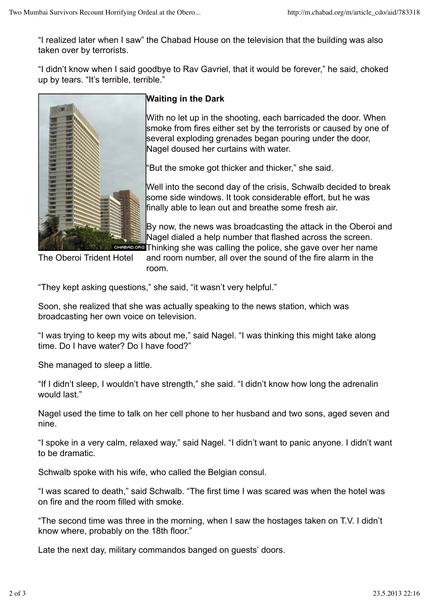"I realized later when I saw" the Chabad House on the television that the building was also taken over by terrorists.

"I didn't know when I said goodbye to Rav Gavriel, that it would be forever," he said, choked up by tears. "It's terrible, terrible."



## **Waiting in the Dark**

With no let up in the shooting, each barricaded the door. When smoke from fires either set by the terrorists or caused by one of several exploding grenades began pouring under the door, Nagel doused her curtains with water.

"But the smoke got thicker and thicker," she said.

Well into the second day of the crisis, Schwalb decided to break some side windows. It took considerable effort, but he was finally able to lean out and breathe some fresh air.

By now, the news was broadcasting the attack in the Oberoi and Nagel dialed a help number that flashed across the screen. **READ ORG** Thinking she was calling the police, she gave over her name

The Oberoi Trident Hotel

and room number, all over the sound of the fire alarm in the room.

"They kept asking questions," she said, "it wasn't very helpful."

Soon, she realized that she was actually speaking to the news station, which was broadcasting her own voice on television.

"I was trying to keep my wits about me," said Nagel. "I was thinking this might take along time. Do I have water? Do I have food?"

She managed to sleep a little.

"If I didn't sleep, I wouldn't have strength," she said. "I didn't know how long the adrenalin would last."

Nagel used the time to talk on her cell phone to her husband and two sons, aged seven and nine.

"I spoke in a very calm, relaxed way," said Nagel. "I didn't want to panic anyone. I didn't want to be dramatic.

Schwalb spoke with his wife, who called the Belgian consul.

"I was scared to death," said Schwalb. "The first time I was scared was when the hotel was on fire and the room filled with smoke.

"The second time was three in the morning, when I saw the hostages taken on T.V. I didn't know where, probably on the 18th floor."

Late the next day, military commandos banged on guests' doors.